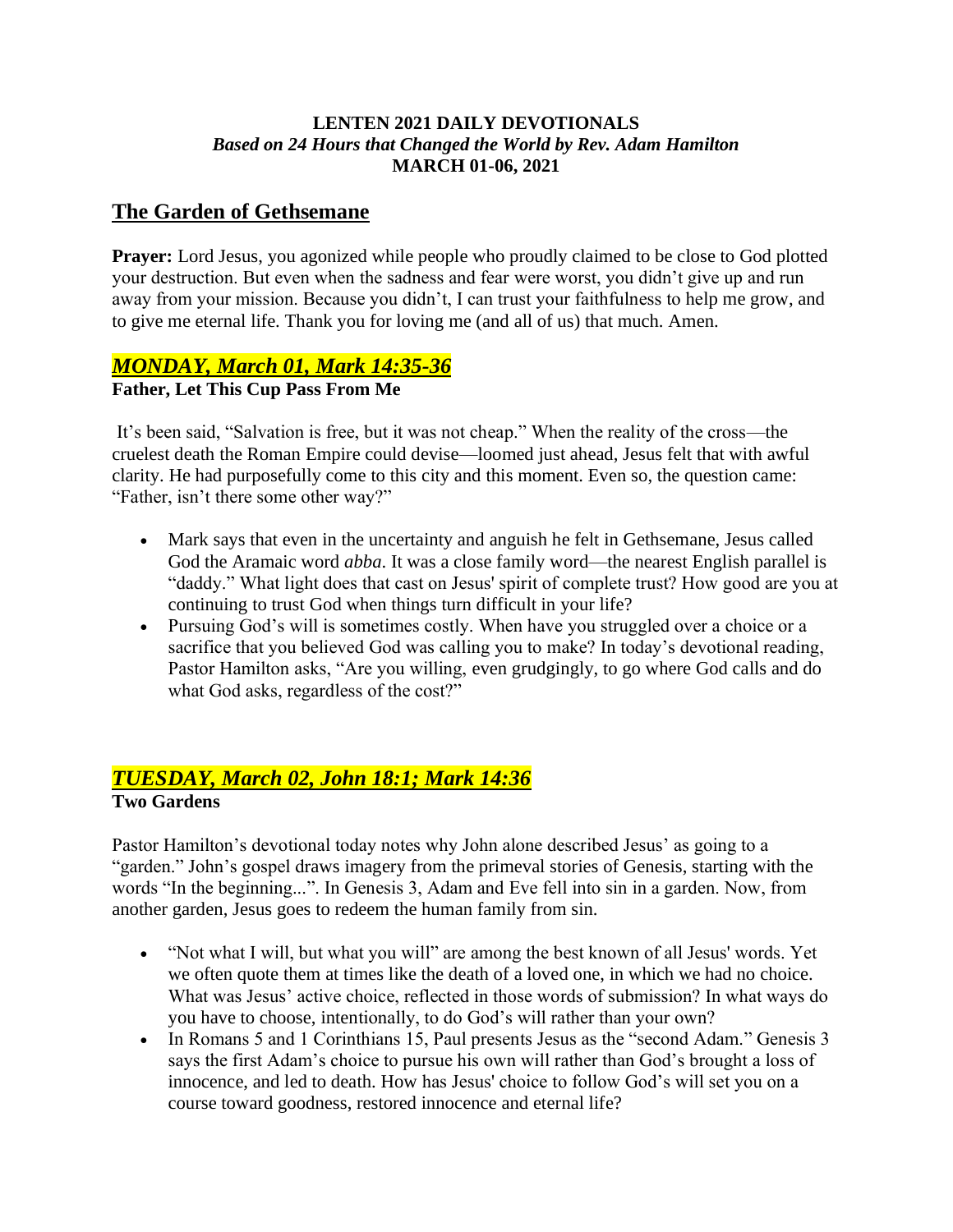### **LENTEN 2021 DAILY DEVOTIONALS** *Based on 24 Hours that Changed the World by Rev. Adam Hamilton* **MARCH 01-06, 2021**

### **The Garden of Gethsemane**

**Prayer:** Lord Jesus, you agonized while people who proudly claimed to be close to God plotted your destruction. But even when the sadness and fear were worst, you didn't give up and run away from your mission. Because you didn't, I can trust your faithfulness to help me grow, and to give me eternal life. Thank you for loving me (and all of us) that much. Amen.

# *MONDAY, March 01, Mark 14:35-36*

### **Father, Let This Cup Pass From Me**

It's been said, "Salvation is free, but it was not cheap." When the reality of the cross—the cruelest death the Roman Empire could devise—loomed just ahead, Jesus felt that with awful clarity. He had purposefully come to this city and this moment. Even so, the question came: "Father, isn't there some other way?"

- Mark says that even in the uncertainty and anguish he felt in Gethsemane, Jesus called God the Aramaic word *abba*. It was a close family word—the nearest English parallel is "daddy." What light does that cast on Jesus' spirit of complete trust? How good are you at continuing to trust God when things turn difficult in your life?
- Pursuing God's will is sometimes costly. When have you struggled over a choice or a sacrifice that you believed God was calling you to make? In today's devotional reading, Pastor Hamilton asks, "Are you willing, even grudgingly, to go where God calls and do what God asks, regardless of the cost?"

### *TUESDAY, March 02, John 18:1; Mark 14:36* **Two Gardens**

Pastor Hamilton's devotional today notes why John alone described Jesus' as going to a "garden." John's gospel draws imagery from the primeval stories of Genesis, starting with the words "In the beginning...". In Genesis 3, Adam and Eve fell into sin in a garden. Now, from another garden, Jesus goes to redeem the human family from sin.

- "Not what I will, but what you will" are among the best known of all Jesus' words. Yet we often quote them at times like the death of a loved one, in which we had no choice. What was Jesus' active choice, reflected in those words of submission? In what ways do you have to choose, intentionally, to do God's will rather than your own?
- In Romans 5 and 1 Corinthians 15, Paul presents Jesus as the "second Adam." Genesis 3 says the first Adam's choice to pursue his own will rather than God's brought a loss of innocence, and led to death. How has Jesus' choice to follow God's will set you on a course toward goodness, restored innocence and eternal life?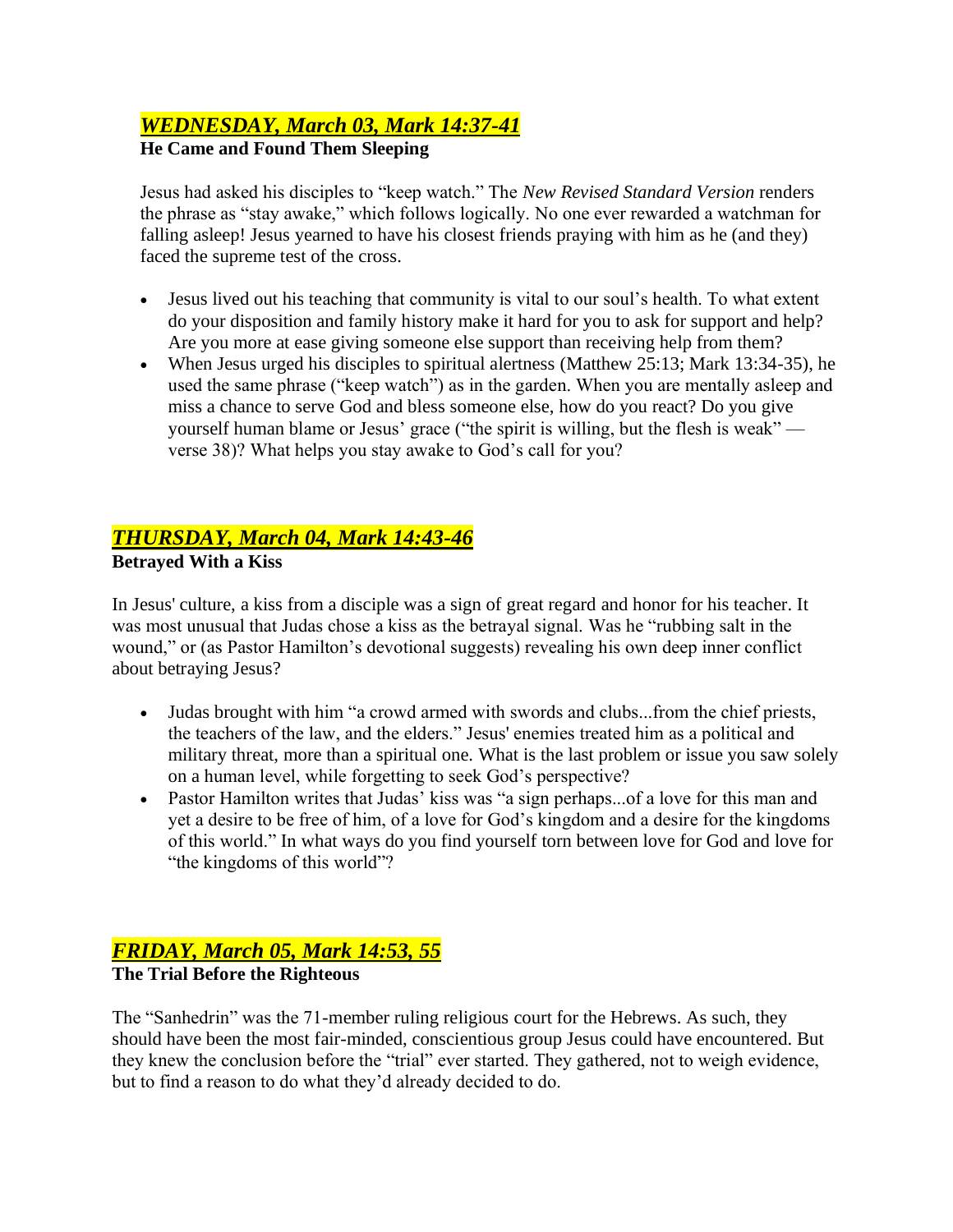# *WEDNESDAY, March 03, Mark 14:37-41*

### **He Came and Found Them Sleeping**

Jesus had asked his disciples to "keep watch." The *New Revised Standard Version* renders the phrase as "stay awake," which follows logically. No one ever rewarded a watchman for falling asleep! Jesus yearned to have his closest friends praying with him as he (and they) faced the supreme test of the cross.

- Jesus lived out his teaching that community is vital to our soul's health. To what extent do your disposition and family history make it hard for you to ask for support and help? Are you more at ease giving someone else support than receiving help from them?
- When Jesus urged his disciples to spiritual alertness (Matthew 25:13; Mark 13:34-35), he used the same phrase ("keep watch") as in the garden. When you are mentally asleep and miss a chance to serve God and bless someone else, how do you react? Do you give yourself human blame or Jesus' grace ("the spirit is willing, but the flesh is weak" verse 38)? What helps you stay awake to God's call for you?

# *THURSDAY, March 04, Mark 14:43-46*

### **Betrayed With a Kiss**

In Jesus' culture, a kiss from a disciple was a sign of great regard and honor for his teacher. It was most unusual that Judas chose a kiss as the betrayal signal. Was he "rubbing salt in the wound," or (as Pastor Hamilton's devotional suggests) revealing his own deep inner conflict about betraying Jesus?

- Judas brought with him "a crowd armed with swords and clubs...from the chief priests, the teachers of the law, and the elders." Jesus' enemies treated him as a political and military threat, more than a spiritual one. What is the last problem or issue you saw solely on a human level, while forgetting to seek God's perspective?
- Pastor Hamilton writes that Judas' kiss was "a sign perhaps...of a love for this man and yet a desire to be free of him, of a love for God's kingdom and a desire for the kingdoms of this world." In what ways do you find yourself torn between love for God and love for "the kingdoms of this world"?

# *FRIDAY, March 05, Mark 14:53, 55*

# **The Trial Before the Righteous**

The "Sanhedrin" was the 71-member ruling religious court for the Hebrews. As such, they should have been the most fair-minded, conscientious group Jesus could have encountered. But they knew the conclusion before the "trial" ever started. They gathered, not to weigh evidence, but to find a reason to do what they'd already decided to do.